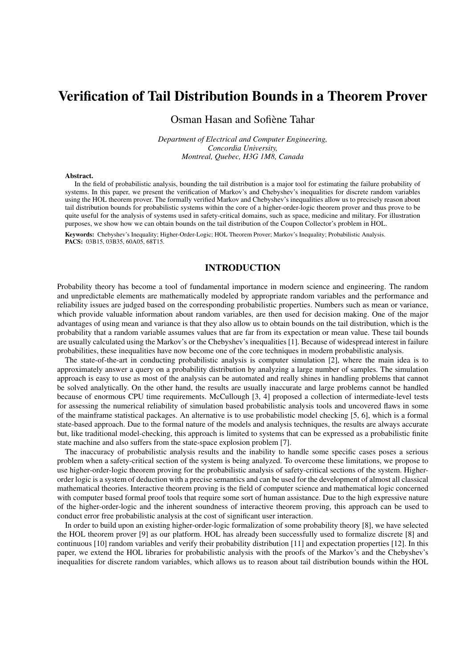# Verification of Tail Distribution Bounds in a Theorem Prover

## Osman Hasan and Sofiène Tahar

*Department of Electrical and Computer Engineering, Concordia University, Montreal, Quebec, H3G 1M8, Canada*

#### Abstract.

In the field of probabilistic analysis, bounding the tail distribution is a major tool for estimating the failure probability of systems. In this paper, we present the verification of Markov's and Chebyshev's inequalities for discrete random variables using the HOL theorem prover. The formally verified Markov and Chebyshev's inequalities allow us to precisely reason about tail distribution bounds for probabilistic systems within the core of a higher-order-logic theorem prover and thus prove to be quite useful for the analysis of systems used in safety-critical domains, such as space, medicine and military. For illustration purposes, we show how we can obtain bounds on the tail distribution of the Coupon Collector's problem in HOL.

Keywords: Chebyshev's Inequality; Higher-Order-Logic; HOL Theorem Prover; Markov's Inequality; Probabilistic Analysis. PACS: 03B15, 03B35, 60A05, 68T15.

## INTRODUCTION

Probability theory has become a tool of fundamental importance in modern science and engineering. The random and unpredictable elements are mathematically modeled by appropriate random variables and the performance and reliability issues are judged based on the corresponding probabilistic properties. Numbers such as mean or variance, which provide valuable information about random variables, are then used for decision making. One of the major advantages of using mean and variance is that they also allow us to obtain bounds on the tail distribution, which is the probability that a random variable assumes values that are far from its expectation or mean value. These tail bounds are usually calculated using the Markov's or the Chebyshev's inequalities [1]. Because of widespread interest in failure probabilities, these inequalities have now become one of the core techniques in modern probabilistic analysis.

The state-of-the-art in conducting probabilistic analysis is computer simulation [2], where the main idea is to approximately answer a query on a probability distribution by analyzing a large number of samples. The simulation approach is easy to use as most of the analysis can be automated and really shines in handling problems that cannot be solved analytically. On the other hand, the results are usually inaccurate and large problems cannot be handled because of enormous CPU time requirements. McCullough [3, 4] proposed a collection of intermediate-level tests for assessing the numerical reliability of simulation based probabilistic analysis tools and uncovered flaws in some of the mainframe statistical packages. An alternative is to use probabilistic model checking [5, 6], which is a formal state-based approach. Due to the formal nature of the models and analysis techniques, the results are always accurate but, like traditional model-checking, this approach is limited to systems that can be expressed as a probabilistic finite state machine and also suffers from the state-space explosion problem [7].

The inaccuracy of probabilistic analysis results and the inability to handle some specific cases poses a serious problem when a safety-critical section of the system is being analyzed. To overcome these limitations, we propose to use higher-order-logic theorem proving for the probabilistic analysis of safety-critical sections of the system. Higherorder logic is a system of deduction with a precise semantics and can be used for the development of almost all classical mathematical theories. Interactive theorem proving is the field of computer science and mathematical logic concerned with computer based formal proof tools that require some sort of human assistance. Due to the high expressive nature of the higher-order-logic and the inherent soundness of interactive theorem proving, this approach can be used to conduct error free probabilistic analysis at the cost of significant user interaction.

In order to build upon an existing higher-order-logic formalization of some probability theory [8], we have selected the HOL theorem prover [9] as our platform. HOL has already been successfully used to formalize discrete [8] and continuous [10] random variables and verify their probability distribution [11] and expectation properties [12]. In this paper, we extend the HOL libraries for probabilistic analysis with the proofs of the Markov's and the Chebyshev's inequalities for discrete random variables, which allows us to reason about tail distribution bounds within the HOL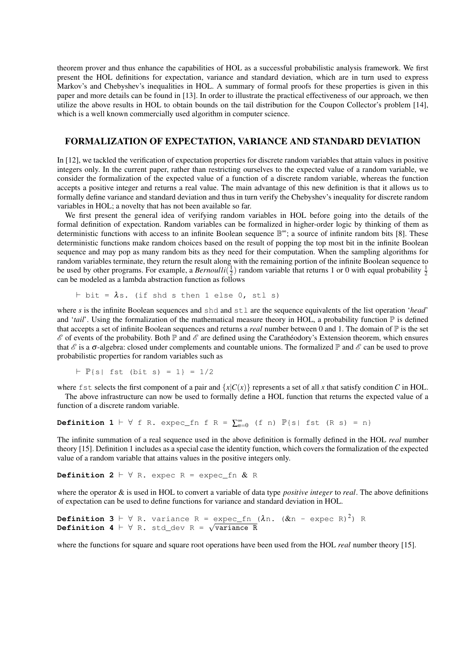theorem prover and thus enhance the capabilities of HOL as a successful probabilistic analysis framework. We first present the HOL definitions for expectation, variance and standard deviation, which are in turn used to express Markov's and Chebyshev's inequalities in HOL. A summary of formal proofs for these properties is given in this paper and more details can be found in [13]. In order to illustrate the practical effectiveness of our approach, we then utilize the above results in HOL to obtain bounds on the tail distribution for the Coupon Collector's problem [14], which is a well known commercially used algorithm in computer science.

### FORMALIZATION OF EXPECTATION, VARIANCE AND STANDARD DEVIATION

In [12], we tackled the verification of expectation properties for discrete random variables that attain values in positive integers only. In the current paper, rather than restricting ourselves to the expected value of a random variable, we consider the formalization of the expected value of a function of a discrete random variable, whereas the function accepts a positive integer and returns a real value. The main advantage of this new definition is that it allows us to formally define variance and standard deviation and thus in turn verify the Chebyshev's inequality for discrete random variables in HOL; a novelty that has not been available so far.

We first present the general idea of verifying random variables in HOL before going into the details of the formal definition of expectation. Random variables can be formalized in higher-order logic by thinking of them as deterministic functions with access to an infinite Boolean sequence  $\mathbb{B}^{\infty}$ ; a source of infinite random bits [8]. These deterministic functions make random choices based on the result of popping the top most bit in the infinite Boolean sequence and may pop as many random bits as they need for their computation. When the sampling algorithms for random variables terminate, they return the result along with the remaining portion of the infinite Boolean sequence to be used by other programs. For example, a *Bernoulli* $(\frac{1}{2})$  random variable that returns 1 or 0 with equal probability  $\frac{1}{2}$ can be modeled as a lambda abstraction function as follows

$$
\vdash \text{bit} = \lambda \text{s. (if shd s then 1 else 0, stl s)}
$$

where *s* is the infinite Boolean sequences and shd and stl are the sequence equivalents of the list operation '*head*' and '*tail*'. Using the formalization of the mathematical measure theory in HOL, a probability function  $\mathbb P$  is defined that accepts a set of infinite Boolean sequences and returns a *real* number between 0 and 1. The domain of  $\mathbb P$  is the set  $\mathscr E$  of events of the probability. Both  $\mathbb P$  and  $\mathscr E$  are defined using the Carathéodory's Extension theorem, which ensures that  $\mathscr E$  is a  $\sigma$ -algebra: closed under complements and countable unions. The formalized  $\mathbb P$  and  $\mathscr E$  can be used to prove probabilistic properties for random variables such as

$$
\vdash
$$
 P{s} | fst (bit s) = 1} = 1/2

where fst selects the first component of a pair and  ${x|C(x)}$  represents a set of all *x* that satisfy condition *C* in HOL.

The above infrastructure can now be used to formally define a HOL function that returns the expected value of a function of a discrete random variable.

**Definition 1**  $\vdash$   $\forall$  f R. expec\_fn f R =  $\sum_{n=0}^{\infty}$  (f n)  $\mathbb{P}\{s |$  fst (R s) = n}

The infinite summation of a real sequence used in the above definition is formally defined in the HOL *real* number theory [15]. Definition 1 includes as a special case the identity function, which covers the formalization of the expected value of a random variable that attains values in the positive integers only.

**Definition 2**  $\vdash$   $\forall$  R. expec R = expec\_fn & R

where the operator & is used in HOL to convert a variable of data type *positive integer* to *real*. The above definitions of expectation can be used to define functions for variance and standard deviation in HOL.

```
Definition 3 \vdash \forall R. variance R = expec_fn (\lambdan. (\&n - expec R)<sup>2</sup>) R
Definition 3 F V R. variance R = expec_fn<br>Definition 4 F ∀ R. std_dev R = √variance R
```
where the functions for square and square root operations have been used from the HOL *real* number theory [15].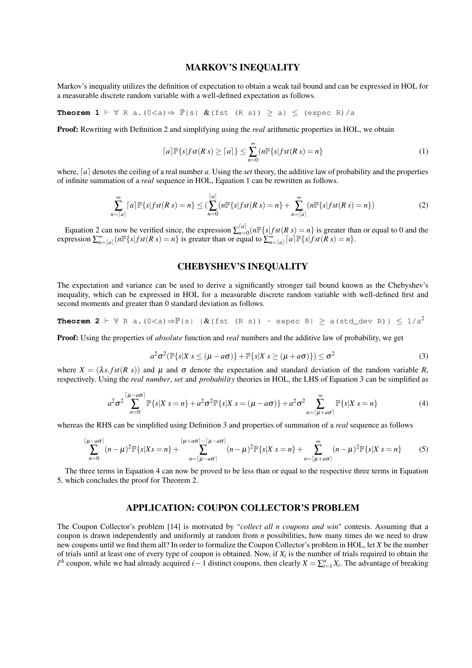### MARKOV'S INEQUALITY

Markov's inequality utilizes the definition of expectation to obtain a weak tail bound and can be expressed in HOL for a measurable discrete random variable with a well-defined expectation as follows.

**Theorem 1**  $\vdash \forall$  R a. (0<a)  $\Rightarrow$   $\mathbb{P}\{s | \&(fst (R s)) \ge a\}$   $\le$  (expec R)/a

Proof: Rewriting with Definition 2 and simplifying using the *real* arithmetic properties in HOL, we obtain

$$
\lceil a \rceil \mathbb{P}\{s| fst(Rs) \ge \lceil a \rceil\} \le \sum_{n=0}^{\infty} (n \mathbb{P}\{s| fst(Rs) = n\}
$$
 (1)

where,  $[a]$  denotes the ceiling of a real number a. Using the *set* theory, the additive law of probability and the properties of infinite summation of a *real* sequence in HOL, Equation 1 can be rewritten as follows.

$$
\sum_{n=\lceil a\rceil}^{\infty} \lceil a\rceil \mathbb{P}\{s|fst(Rs) = n\} \leq \left(\sum_{n=0}^{\lceil a\rceil} (n \mathbb{P}\{s|fst(Rs) = n\} + \sum_{n=\lceil a\rceil}^{\infty} (n \mathbb{P}\{s|fst(Rs) = n\})\right) \tag{2}
$$

Equation 2 can now be verified since, the expression  $\sum_{n=0}^{\lceil a \rceil}$  $\int_{n=0}^{a} (n \mathbb{P} \{s | f \mathcal{S} \{f \in \mathbb{R} \} | \mathcal{S} \{f \in \mathbb{R} \} ) = n \}$  is greater than or equal to 0 and the  $\sum_{n=0}^{\infty} a_n \sum_{i=0}^{\infty} (n \mathbb{P} \{ s | f s t (R s) = n \}$  is greater than or equal to  $\sum_{n=0}^{\infty} a_n \mathbb{P} \{ s | f s t (R s) = n \}.$ 

## CHEBYSHEV'S INEQUALITY

The expectation and variance can be used to derive a significantly stronger tail bound known as the Chebyshev's inequality, which can be expressed in HOL for a measurable discrete random variable with well-defined first and second moments and greater than 0 standard deviation as follows.

**Theorem 2** 
$$
\vdash \forall R
$$
 a.  $(0 \le a) \Rightarrow \mathbb{P}{s \mid \mathcal{X}(fst(R s))}$  - *expec R*  $|\ge a(std\_dev R) \le 1/a^2$ 

Proof: Using the properties of *absolute* function and *real* numbers and the additive law of probability, we get

$$
a^2 \sigma^2 (\mathbb{P}\{s|X \mid s \le (\mu - a\sigma)\} + \mathbb{P}\{s|X \mid s \ge (\mu + a\sigma)\}) \le \sigma^2
$$
 (3)

where  $X = (\lambda s, fst(R s))$  and  $\mu$  and  $\sigma$  denote the expectation and standard deviation of the random variable *R*, respectively. Using the *real number*, *set* and *probability* theories in HOL, the LHS of Equation 3 can be simplified as

$$
a^2 \sigma^2 \sum_{n=0}^{\lceil \mu - a\sigma \rceil} \mathbb{P}\{s|X \mid s = n\} + a^2 \sigma^2 \mathbb{P}\{s|X \mid s = (\mu - a\sigma)\} + a^2 \sigma^2 \sum_{n=\lceil \mu + a\sigma \rceil}^{\infty} \mathbb{P}\{s|X \mid s = n\}
$$
(4)

whereas the RHS can be simplified using Definition 3 and properties of summation of a *real* sequence as follows

$$
\sum_{n=0}^{\lceil \mu - a\sigma \rceil} (n - \mu)^2 \mathbb{P}\{s|Xs = n\} + \sum_{n=\lceil \mu - a\sigma \rceil}^{\lceil \mu + a\sigma \rceil - \lceil \mu - a\sigma \rceil} (n - \mu)^2 \mathbb{P}\{s|Xs = n\} + \sum_{n=\lceil \mu + a\sigma \rceil}^{\infty} (n - \mu)^2 \mathbb{P}\{s|Xs = n\}
$$
(5)

The three terms in Equation 4 can now be proved to be less than or equal to the respective three terms in Equation 5, which concludes the proof for Theorem 2.

## APPLICATION: COUPON COLLECTOR'S PROBLEM

The Coupon Collector's problem [14] is motivated by "*collect all n coupons and win*" contests. Assuming that a coupon is drawn independently and uniformly at random from *n* possibilities, how many times do we need to draw new coupons until we find them all? In order to formalize the Coupon Collector's problem in HOL, let *X* be the number of trials until at least one of every type of coupon is obtained. Now, if *X<sup>i</sup>* is the number of trials required to obtain the  $i^{th}$  coupon, while we had already acquired *i* − 1 distinct coupons, then clearly *X* =  $\sum_{i=1}^{n} X_i$ . The advantage of breaking